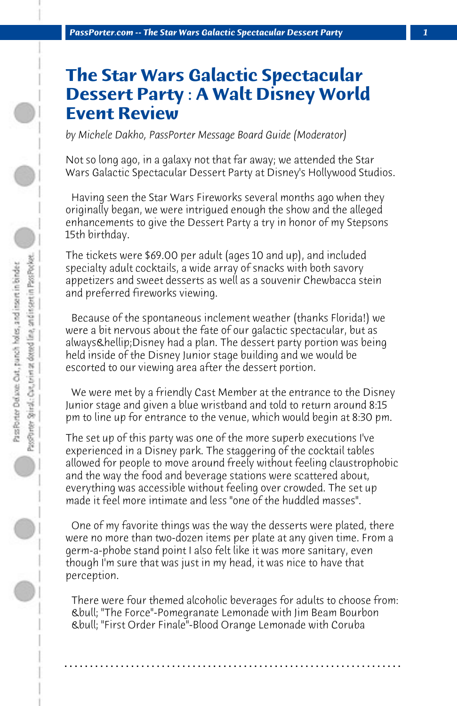## **The Star Wars Galactic Spectacular Dessert Party : A Walt Disney World Event Review**

*by Michele Dakho, PassPorter Message Board Guide (Moderator)*

Not so long ago, in a galaxy not that far away; we attended the Star Wars Galactic Spectacular Dessert Party at Disney's Hollywood Studios.

 Having seen the Star Wars Fireworks several months ago when they originally began, we were intrigued enough the show and the alleged enhancements to give the Dessert Party a try in honor of my Stepsons 15th birthday.

The tickets were \$69.00 per adult (ages 10 and up), and included specialty adult cocktails, a wide array of snacks with both savory appetizers and sweet desserts as well as a souvenir Chewbacca stein and preferred fireworks viewing.

 Because of the spontaneous inclement weather (thanks Florida!) we were a bit nervous about the fate of our galactic spectacular, but as always…Disney had a plan. The dessert party portion was being held inside of the Disney Junior stage building and we would be escorted to our viewing area after the dessert portion.

 We were met by a friendly Cast Member at the entrance to the Disney Junior stage and given a blue wristband and told to return around 8:15 pm to line up for entrance to the venue, which would begin at 8:30 pm.

The set up of this party was one of the more superb executions I've experienced in a Disney park. The staggering of the cocktail tables allowed for people to move around freely without feeling claustrophobic and the way the food and beverage stations were scattered about, everything was accessible without feeling over crowded. The set up made it feel more intimate and less "one of the huddled masses".

 One of my favorite things was the way the desserts were plated, there were no more than two-dozen items per plate at any given time. From a germ-a-phobe stand point I also felt like it was more sanitary, even though I'm sure that was just in my head, it was nice to have that perception.

 There were four themed alcoholic beverages for adults to choose from: • "The Force"-Pomegranate Lemonade with Jim Beam Bourbon • "First Order Finale"-Blood Orange Lemonade with Coruba

**. . . . . . . . . . . . . . . . . . . . . . . . . . . . . . . . . . . . . . . . . . . . . . . . . . . . . . . . . . . . . . . . . .**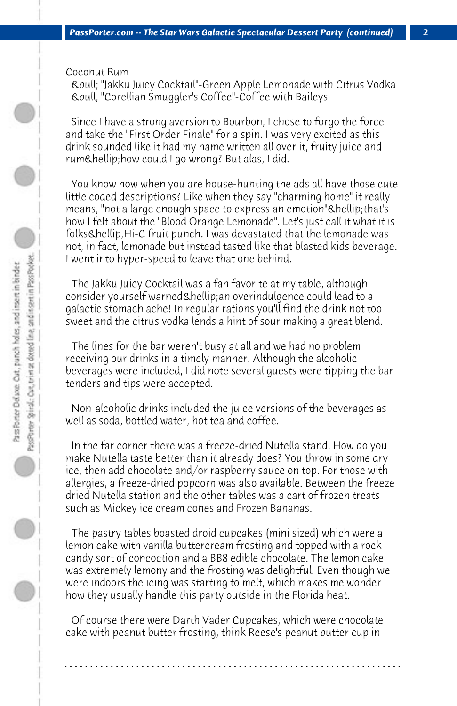## Coconut Rum

 • "Jakku Juicy Cocktail"-Green Apple Lemonade with Citrus Vodka • "Corellian Smuggler's Coffee"-Coffee with Baileys

 Since I have a strong aversion to Bourbon, I chose to forgo the force and take the "First Order Finale" for a spin. I was very excited as this drink sounded like it had my name written all over it, fruity juice and rum & hellip; how could I go wrong? But alas, I did.

 You know how when you are house-hunting the ads all have those cute little coded descriptions? Like when they say "charming home" it really means, "not a large enough space to express an emotion" & hellip; that's how I felt about the "Blood Orange Lemonade". Let's just call it what it is folks…Hi-C fruit punch. I was devastated that the lemonade was not, in fact, lemonade but instead tasted like that blasted kids beverage. I went into hyper-speed to leave that one behind.

 The Jakku Juicy Cocktail was a fan favorite at my table, although consider yourself warned…an overindulgence could lead to a galactic stomach ache! In regular rations you'll find the drink not too sweet and the citrus vodka lends a hint of sour making a great blend.

 The lines for the bar weren't busy at all and we had no problem receiving our drinks in a timely manner. Although the alcoholic beverages were included, I did note several guests were tipping the bar tenders and tips were accepted.

 Non-alcoholic drinks included the juice versions of the beverages as well as soda, bottled water, hot tea and coffee.

 In the far corner there was a freeze-dried Nutella stand. How do you make Nutella taste better than it already does? You throw in some dry ice, then add chocolate and/or raspberry sauce on top. For those with allergies, a freeze-dried popcorn was also available. Between the freeze dried Nutella station and the other tables was a cart of frozen treats such as Mickey ice cream cones and Frozen Bananas.

 The pastry tables boasted droid cupcakes (mini sized) which were a lemon cake with vanilla buttercream frosting and topped with a rock candy sort of concoction and a BB8 edible chocolate. The lemon cake was extremely lemony and the frosting was delightful. Even though we were indoors the icing was starting to melt, which makes me wonder how they usually handle this party outside in the Florida heat.

 Of course there were Darth Vader Cupcakes, which were chocolate cake with peanut butter frosting, think Reese's peanut butter cup in

**. . . . . . . . . . . . . . . . . . . . . . . . . . . . . . . . . . . . . . . . . . . . . . . . . . . . . . . . . . . . . . . . . .**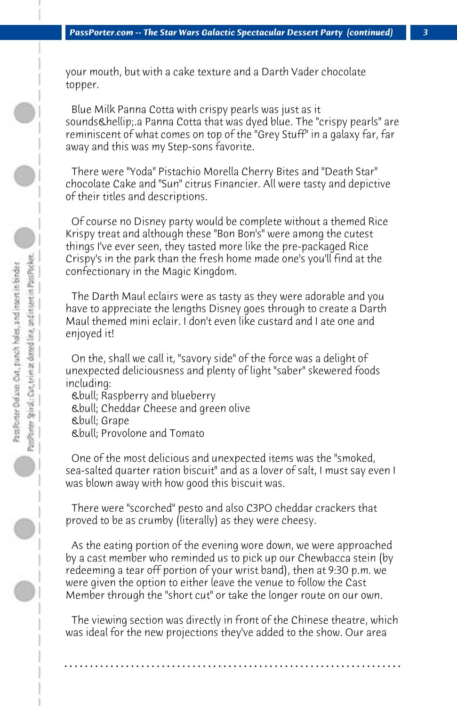your mouth, but with a cake texture and a Darth Vader chocolate topper.

 Blue Milk Panna Cotta with crispy pearls was just as it sounds… a Panna Cotta that was dyed blue. The "crispy pearls" are reminiscent of what comes on top of the "Grey Stuff" in a galaxy far, far away and this was my Step-sons favorite.

 There were "Yoda" Pistachio Morella Cherry Bites and "Death Star" chocolate Cake and "Sun" citrus Financier. All were tasty and depictive of their titles and descriptions.

 Of course no Disney party would be complete without a themed Rice Krispy treat and although these "Bon Bon's" were among the cutest things I've ever seen, they tasted more like the pre-packaged Rice Crispy's in the park than the fresh home made one's you'll find at the confectionary in the Magic Kingdom.

 The Darth Maul eclairs were as tasty as they were adorable and you have to appreciate the lengths Disney goes through to create a Darth Maul themed mini eclair. I don't even like custard and I ate one and enjoyed it!

 On the, shall we call it, "savory side" of the force was a delight of unexpected deliciousness and plenty of light "saber" skewered foods including:

 • Raspberry and blueberry • Cheddar Cheese and green olive • Grape • Provolone and Tomato

 One of the most delicious and unexpected items was the "smoked, sea-salted quarter ration biscuit" and as a lover of salt, I must say even I was blown away with how good this biscuit was.

 There were "scorched" pesto and also C3PO cheddar crackers that proved to be as crumby (literally) as they were cheesy.

 As the eating portion of the evening wore down, we were approached by a cast member who reminded us to pick up our Chewbacca stein (by redeeming a tear off portion of your wrist band), then at 9:30 p.m. we were given the option to either leave the venue to follow the Cast Member through the "short cut" or take the longer route on our own.

 The viewing section was directly in front of the Chinese theatre, which was ideal for the new projections they've added to the show. Our area

**. . . . . . . . . . . . . . . . . . . . . . . . . . . . . . . . . . . . . . . . . . . . . . . . . . . . . . . . . . . . . . . . . .**

Pass Porter Delaxe: Out, panch holes, and insert in binder